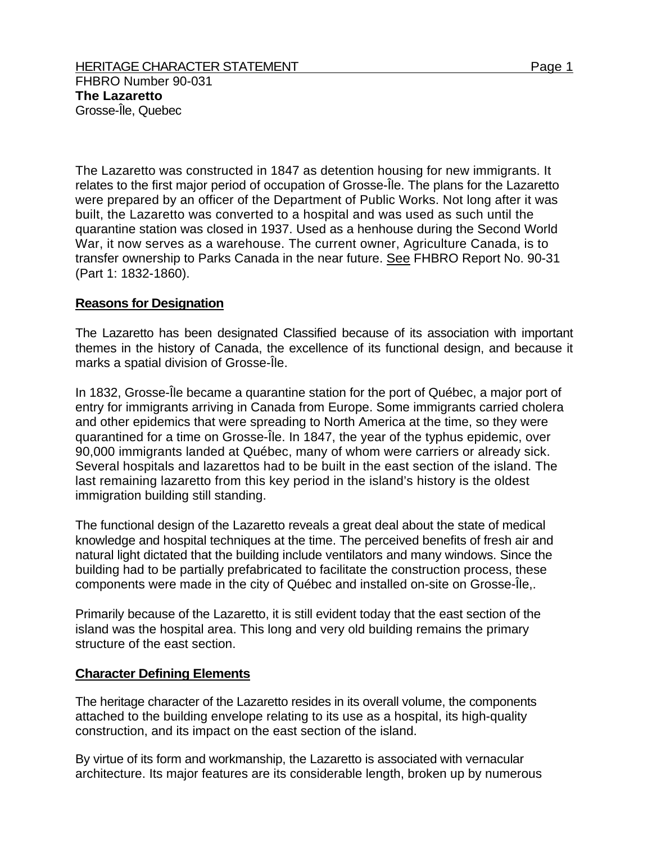The Lazaretto was constructed in 1847 as detention housing for new immigrants. It relates to the first major period of occupation of Grosse-Île. The plans for the Lazaretto were prepared by an officer of the Department of Public Works. Not long after it was built, the Lazaretto was converted to a hospital and was used as such until the quarantine station was closed in 1937. Used as a henhouse during the Second World War, it now serves as a warehouse. The current owner, Agriculture Canada, is to transfer ownership to Parks Canada in the near future. See FHBRO Report No. 90-31 (Part 1: 1832-1860).

## **Reasons for Designation**

The Lazaretto has been designated Classified because of its association with important themes in the history of Canada, the excellence of its functional design, and because it marks a spatial division of Grosse-Île.

In 1832, Grosse-Île became a quarantine station for the port of Québec, a major port of entry for immigrants arriving in Canada from Europe. Some immigrants carried cholera and other epidemics that were spreading to North America at the time, so they were quarantined for a time on Grosse-Île. In 1847, the year of the typhus epidemic, over 90,000 immigrants landed at Québec, many of whom were carriers or already sick. Several hospitals and lazarettos had to be built in the east section of the island. The last remaining lazaretto from this key period in the island's history is the oldest immigration building still standing.

The functional design of the Lazaretto reveals a great deal about the state of medical knowledge and hospital techniques at the time. The perceived benefits of fresh air and natural light dictated that the building include ventilators and many windows. Since the building had to be partially prefabricated to facilitate the construction process, these components were made in the city of Québec and installed on-site on Grosse-Île,.

Primarily because of the Lazaretto, it is still evident today that the east section of the island was the hospital area. This long and very old building remains the primary structure of the east section.

## **Character Defining Elements**

The heritage character of the Lazaretto resides in its overall volume, the components attached to the building envelope relating to its use as a hospital, its high-quality construction, and its impact on the east section of the island.

By virtue of its form and workmanship, the Lazaretto is associated with vernacular architecture. Its major features are its considerable length, broken up by numerous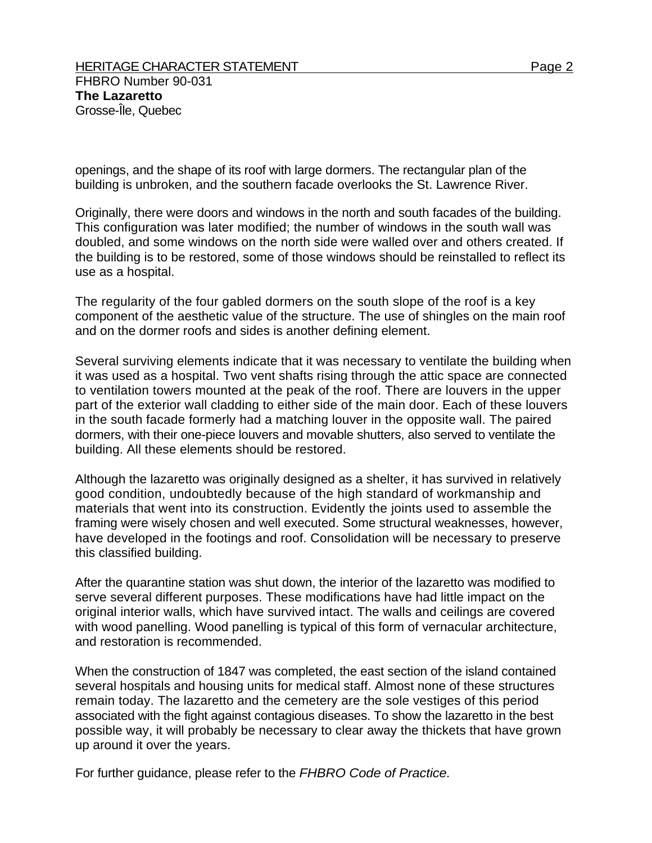openings, and the shape of its roof with large dormers. The rectangular plan of the building is unbroken, and the southern facade overlooks the St. Lawrence River.

Originally, there were doors and windows in the north and south facades of the building. This configuration was later modified; the number of windows in the south wall was doubled, and some windows on the north side were walled over and others created. If the building is to be restored, some of those windows should be reinstalled to reflect its use as a hospital.

The regularity of the four gabled dormers on the south slope of the roof is a key component of the aesthetic value of the structure. The use of shingles on the main roof and on the dormer roofs and sides is another defining element.

Several surviving elements indicate that it was necessary to ventilate the building when it was used as a hospital. Two vent shafts rising through the attic space are connected to ventilation towers mounted at the peak of the roof. There are louvers in the upper part of the exterior wall cladding to either side of the main door. Each of these louvers in the south facade formerly had a matching louver in the opposite wall. The paired dormers, with their one-piece louvers and movable shutters, also served to ventilate the building. All these elements should be restored.

Although the lazaretto was originally designed as a shelter, it has survived in relatively good condition, undoubtedly because of the high standard of workmanship and materials that went into its construction. Evidently the joints used to assemble the framing were wisely chosen and well executed. Some structural weaknesses, however, have developed in the footings and roof. Consolidation will be necessary to preserve this classified building.

After the quarantine station was shut down, the interior of the lazaretto was modified to serve several different purposes. These modifications have had little impact on the original interior walls, which have survived intact. The walls and ceilings are covered with wood panelling. Wood panelling is typical of this form of vernacular architecture, and restoration is recommended.

When the construction of 1847 was completed, the east section of the island contained several hospitals and housing units for medical staff. Almost none of these structures remain today. The lazaretto and the cemetery are the sole vestiges of this period associated with the fight against contagious diseases. To show the lazaretto in the best possible way, it will probably be necessary to clear away the thickets that have grown up around it over the years.

For further guidance, please refer to the *FHBRO Code of Practice.*